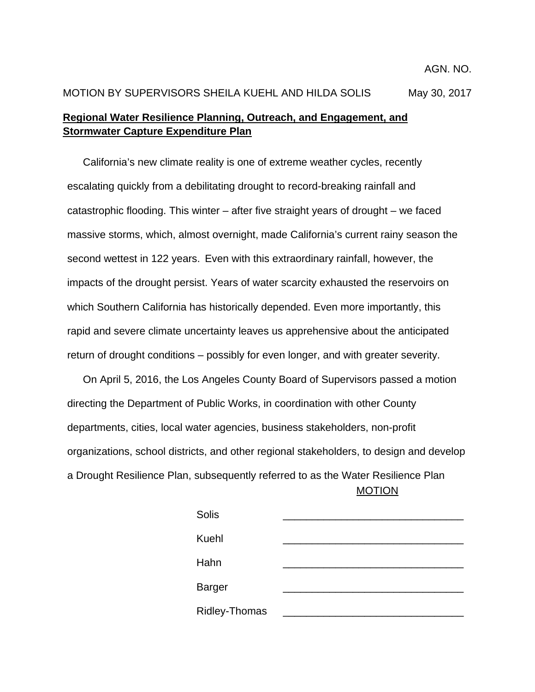## MOTION BY SUPERVISORS SHEILA KUEHL AND HILDA SOLIS May 30, 2017 **Regional Water Resilience Planning, Outreach, and Engagement, and Stormwater Capture Expenditure Plan**

California's new climate reality is one of extreme weather cycles, recently escalating quickly from a debilitating drought to record-breaking rainfall and catastrophic flooding. This winter – after five straight years of drought – we faced massive storms, which, almost overnight, made California's current rainy season the second wettest in 122 years. Even with this extraordinary rainfall, however, the impacts of the drought persist. Years of water scarcity exhausted the reservoirs on which Southern California has historically depended. Even more importantly, this rapid and severe climate uncertainty leaves us apprehensive about the anticipated return of drought conditions – possibly for even longer, and with greater severity.

 MOTION On April 5, 2016, the Los Angeles County Board of Supervisors passed a motion directing the Department of Public Works, in coordination with other County departments, cities, local water agencies, business stakeholders, non-profit organizations, school districts, and other regional stakeholders, to design and develop a Drought Resilience Plan, subsequently referred to as the Water Resilience Plan

| Solis                |  |
|----------------------|--|
| Kuehl                |  |
| Hahn                 |  |
| <b>Barger</b>        |  |
| <b>Ridley-Thomas</b> |  |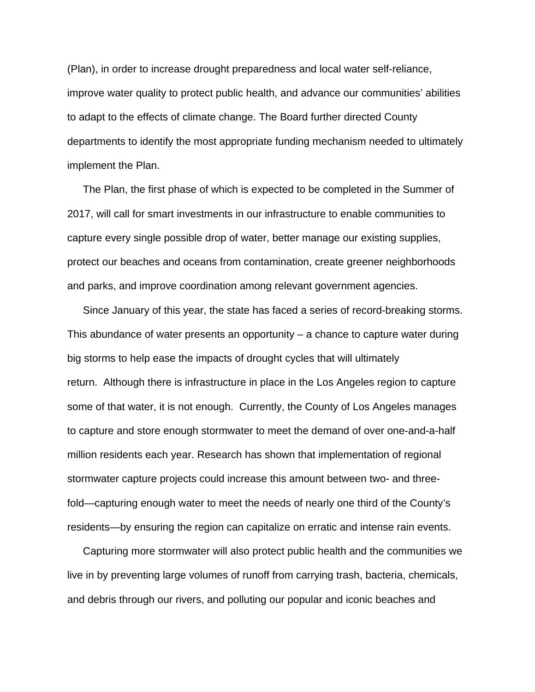(Plan), in order to increase drought preparedness and local water self-reliance, improve water quality to protect public health, and advance our communities' abilities to adapt to the effects of climate change. The Board further directed County departments to identify the most appropriate funding mechanism needed to ultimately implement the Plan.

The Plan, the first phase of which is expected to be completed in the Summer of 2017, will call for smart investments in our infrastructure to enable communities to capture every single possible drop of water, better manage our existing supplies, protect our beaches and oceans from contamination, create greener neighborhoods and parks, and improve coordination among relevant government agencies.

Since January of this year, the state has faced a series of record-breaking storms. This abundance of water presents an opportunity – a chance to capture water during big storms to help ease the impacts of drought cycles that will ultimately return. Although there is infrastructure in place in the Los Angeles region to capture some of that water, it is not enough. Currently, the County of Los Angeles manages to capture and store enough stormwater to meet the demand of over one-and-a-half million residents each year. Research has shown that implementation of regional stormwater capture projects could increase this amount between two- and threefold—capturing enough water to meet the needs of nearly one third of the County's residents—by ensuring the region can capitalize on erratic and intense rain events.

Capturing more stormwater will also protect public health and the communities we live in by preventing large volumes of runoff from carrying trash, bacteria, chemicals, and debris through our rivers, and polluting our popular and iconic beaches and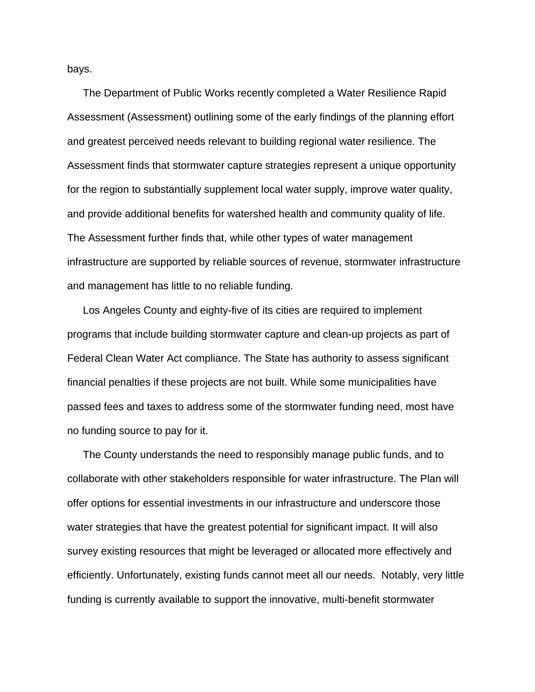bays.

The Department of Public Works recently completed a Water Resilience Rapid Assessment (Assessment) outlining some of the early findings of the planning effort and greatest perceived needs relevant to building regional water resilience. The Assessment finds that stormwater capture strategies represent a unique opportunity for the region to substantially supplement local water supply, improve water quality, and provide additional benefits for watershed health and community quality of life. The Assessment further finds that, while other types of water management infrastructure are supported by reliable sources of revenue, stormwater infrastructure and management has little to no reliable funding.

Los Angeles County and eighty-five of its cities are required to implement programs that include building stormwater capture and clean-up projects as part of Federal Clean Water Act compliance. The State has authority to assess significant financial penalties if these projects are not built. While some municipalities have passed fees and taxes to address some of the stormwater funding need, most have no funding source to pay for it.

The County understands the need to responsibly manage public funds, and to collaborate with other stakeholders responsible for water infrastructure. The Plan will offer options for essential investments in our infrastructure and underscore those water strategies that have the greatest potential for significant impact. It will also survey existing resources that might be leveraged or allocated more effectively and efficiently. Unfortunately, existing funds cannot meet all our needs. Notably, very little funding is currently available to support the innovative, multi-benefit stormwater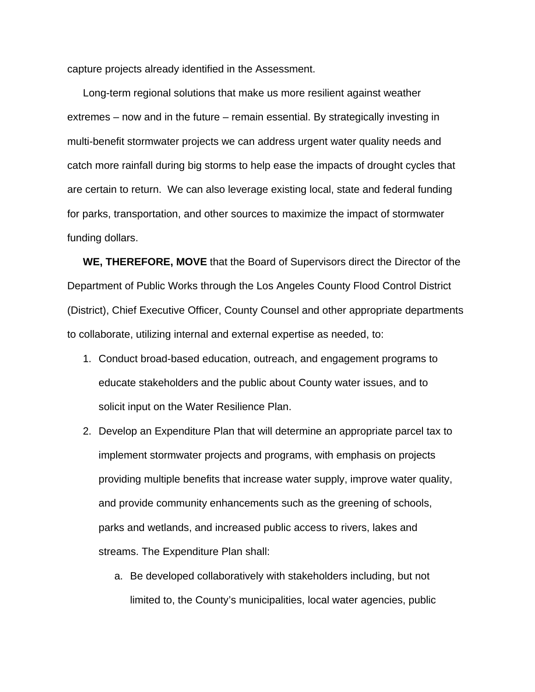capture projects already identified in the Assessment.

Long-term regional solutions that make us more resilient against weather extremes – now and in the future – remain essential. By strategically investing in multi-benefit stormwater projects we can address urgent water quality needs and catch more rainfall during big storms to help ease the impacts of drought cycles that are certain to return. We can also leverage existing local, state and federal funding for parks, transportation, and other sources to maximize the impact of stormwater funding dollars.

**WE, THEREFORE, MOVE** that the Board of Supervisors direct the Director of the Department of Public Works through the Los Angeles County Flood Control District (District), Chief Executive Officer, County Counsel and other appropriate departments to collaborate, utilizing internal and external expertise as needed, to:

- 1. Conduct broad-based education, outreach, and engagement programs to educate stakeholders and the public about County water issues, and to solicit input on the Water Resilience Plan.
- 2. Develop an Expenditure Plan that will determine an appropriate parcel tax to implement stormwater projects and programs, with emphasis on projects providing multiple benefits that increase water supply, improve water quality, and provide community enhancements such as the greening of schools, parks and wetlands, and increased public access to rivers, lakes and streams. The Expenditure Plan shall:
	- a. Be developed collaboratively with stakeholders including, but not limited to, the County's municipalities, local water agencies, public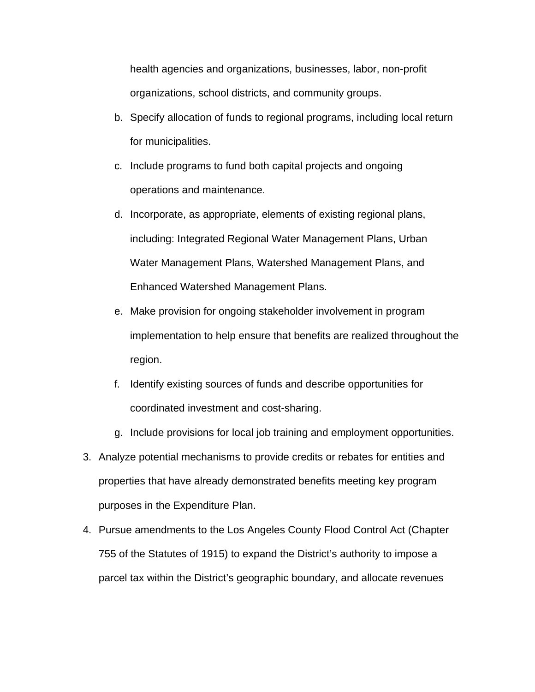health agencies and organizations, businesses, labor, non-profit organizations, school districts, and community groups.

- b. Specify allocation of funds to regional programs, including local return for municipalities.
- c. Include programs to fund both capital projects and ongoing operations and maintenance.
- d. Incorporate, as appropriate, elements of existing regional plans, including: Integrated Regional Water Management Plans, Urban Water Management Plans, Watershed Management Plans, and Enhanced Watershed Management Plans.
- e. Make provision for ongoing stakeholder involvement in program implementation to help ensure that benefits are realized throughout the region.
- f. Identify existing sources of funds and describe opportunities for coordinated investment and cost-sharing.
- g. Include provisions for local job training and employment opportunities.
- 3. Analyze potential mechanisms to provide credits or rebates for entities and properties that have already demonstrated benefits meeting key program purposes in the Expenditure Plan.
- 4. Pursue amendments to the Los Angeles County Flood Control Act (Chapter 755 of the Statutes of 1915) to expand the District's authority to impose a parcel tax within the District's geographic boundary, and allocate revenues